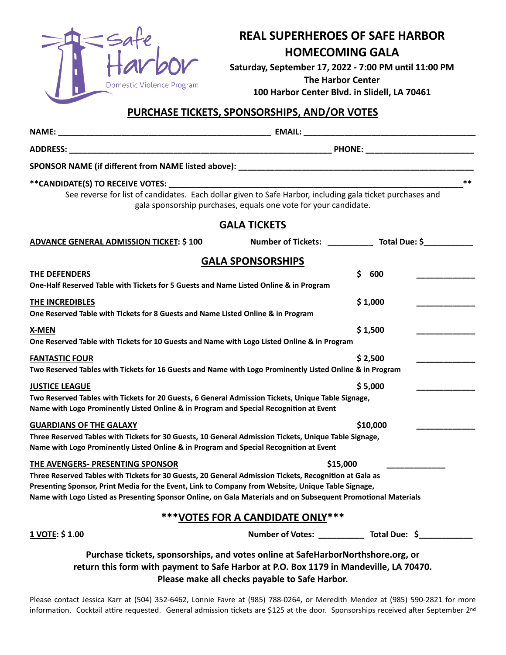

## **REAL SUPERHEROES OF SAFE HARBOR HOMECOMING GALA**

**Saturday, September 17, 2022 - 7:00 PM until 11:00 PM The Harbor Center**

**100 Harbor Center Blvd. in Slidell, LA 70461**

## **PURCHASE TICKETS, SPONSORSHIPS, AND/OR VOTES**

| See reverse for list of candidates. Each dollar given to Safe Harbor, including gala ticket purchases and                                                                                                                                                                                                                                                         | gala sponsorship purchases, equals one vote for your candidate. | **                               |
|-------------------------------------------------------------------------------------------------------------------------------------------------------------------------------------------------------------------------------------------------------------------------------------------------------------------------------------------------------------------|-----------------------------------------------------------------|----------------------------------|
|                                                                                                                                                                                                                                                                                                                                                                   | <b>GALA TICKETS</b>                                             |                                  |
| <b>ADVANCE GENERAL ADMISSION TICKET: \$100</b>                                                                                                                                                                                                                                                                                                                    |                                                                 | Number of Tickets: Total Due: \$ |
|                                                                                                                                                                                                                                                                                                                                                                   | <b>GALA SPONSORSHIPS</b>                                        |                                  |
| <b>THE DEFENDERS</b><br>One-Half Reserved Table with Tickets for 5 Guests and Name Listed Online & in Program                                                                                                                                                                                                                                                     |                                                                 | Ś.<br>600                        |
| <b>THE INCREDIBLES</b><br>One Reserved Table with Tickets for 8 Guests and Name Listed Online & in Program                                                                                                                                                                                                                                                        | \$1,000                                                         |                                  |
| <b>X-MEN</b><br>One Reserved Table with Tickets for 10 Guests and Name with Logo Listed Online & in Program                                                                                                                                                                                                                                                       |                                                                 | \$1,500                          |
| <b>FANTASTIC FOUR</b><br>Two Reserved Tables with Tickets for 16 Guests and Name with Logo Prominently Listed Online & in Program                                                                                                                                                                                                                                 |                                                                 | \$2,500                          |
| <b>JUSTICE LEAGUE</b><br>Two Reserved Tables with Tickets for 20 Guests, 6 General Admission Tickets, Unique Table Signage,<br>Name with Logo Prominently Listed Online & in Program and Special Recognition at Event                                                                                                                                             |                                                                 | \$5,000                          |
| <b>GUARDIANS OF THE GALAXY</b><br>Three Reserved Tables with Tickets for 30 Guests, 10 General Admission Tickets, Unique Table Signage,<br>Name with Logo Prominently Listed Online & in Program and Special Recognition at Event                                                                                                                                 |                                                                 | \$10,000                         |
| THE AVENGERS- PRESENTING SPONSOR<br>Three Reserved Tables with Tickets for 30 Guests, 20 General Admission Tickets, Recognition at Gala as<br>Presenting Sponsor, Print Media for the Event, Link to Company from Website, Unique Table Signage,<br>Name with Logo Listed as Presenting Sponsor Online, on Gala Materials and on Subsequent Promotional Materials | \$15,000                                                        |                                  |
|                                                                                                                                                                                                                                                                                                                                                                   | *** VOTES FOR A CANDIDATE ONLY***                               |                                  |
| 1 VOTE: \$1.00                                                                                                                                                                                                                                                                                                                                                    |                                                                 | Number of Votes: Total Due: \$   |
| Purchase tickets, sponsorships, and votes online at SafeHarborNorthshore.org, or                                                                                                                                                                                                                                                                                  |                                                                 |                                  |

**return this form with payment to Safe Harbor at P.O. Box 1179 in Mandeville, LA 70470. Please make all checks payable to Safe Harbor.** 

Please contact Jessica Karr at (504) 352-6462, Lonnie Favre at (985) 788-0264, or Meredith Mendez at (985) 590-2821 for more information. Cocktail attire requested. General admission tickets are \$125 at the door. Sponsorships received after September 2<sup>nd</sup>